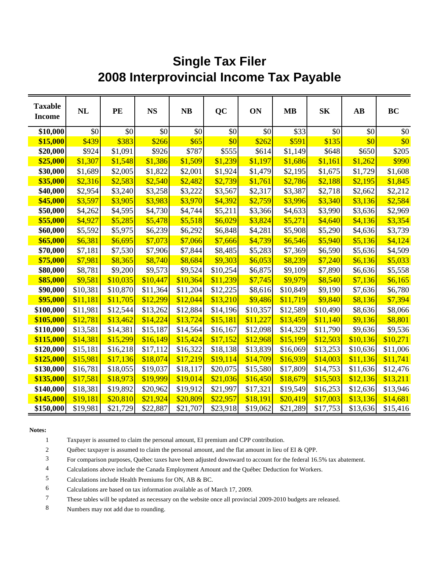## **Single Tax Filer 2008 Interprovincial Income Tax Payable**

| <b>Taxable</b><br><b>Income</b> | <b>NL</b> | PE       | <b>NS</b> | <b>NB</b> | QC       | ON       | <b>MB</b> | <b>SK</b>            | $\mathbf{A}\mathbf{B}$ | <b>BC</b> |
|---------------------------------|-----------|----------|-----------|-----------|----------|----------|-----------|----------------------|------------------------|-----------|
| \$10,000                        | \$0       | \$0      | \$0       | \$0       | \$0      | \$0      | \$33      | \$0                  | \$0                    | \$0       |
| \$15,000                        | \$439     | \$383    | \$266     | \$65      | \$0      | \$262    | \$591     | \$135                | \$0                    | \$0       |
| \$20,000                        | \$924     | \$1,091  | \$926     | \$787     | \$555    | \$614    | \$1,149   | \$648                | \$650                  | \$205     |
| \$25,000                        | \$1,307   | \$1,548  | \$1,386   | \$1,509   | \$1,239  | \$1,197  | \$1,686   | \$1,161              | \$1,262                | \$990     |
| \$30,000                        | \$1,689   | \$2,005  | \$1,822   | \$2,001   | \$1,924  | \$1,479  | \$2,195   | \$1,675              | \$1,729                | \$1,608   |
| \$35,000                        | \$2,316   | \$2,583  | \$2,540   | \$2,482   | \$2,739  | \$1,761  | \$2,786   | \$2,188              | \$2,195                | \$1,845   |
| \$40,000                        | \$2,954   | \$3,240  | \$3,258   | \$3,222   | \$3,567  | \$2,317  | \$3,387   | \$2,718              | \$2,662                | \$2,212   |
| \$45,000                        | \$3,597   | \$3,905  | \$3,983   | \$3,970   | \$4,392  | \$2,759  | \$3,996   | \$3,340              | \$3,136                | \$2,584   |
| \$50,000                        | \$4,262   | \$4,595  | \$4,730   | \$4,744   | \$5,211  | \$3,366  | \$4,633   | \$3,990              | \$3,636                | \$2,969   |
| \$55,000                        | \$4,927   | \$5,285  | \$5,478   | \$5,518   | \$6,029  | \$3,824  | \$5,271   | \$4,640              | \$4,136                | \$3,354   |
| \$60,000                        | \$5,592   | \$5,975  | \$6,239   | \$6,292   | \$6,848  | \$4,281  | \$5,908   | \$5,290              | \$4,636                | \$3,739   |
| \$65,000                        | \$6,381   | \$6,695  | \$7,073   | \$7,066   | \$7,666  | \$4,739  | \$6,546   | \$5,940              | \$5,136                | \$4,124   |
| \$70,000                        | \$7,181   | \$7,530  | \$7,906   | \$7,844   | \$8,485  | \$5,283  | \$7,369   | \$6,590              | \$5,636                | \$4,509   |
| \$75,000                        | \$7,981   | \$8,365  | \$8,740   | \$8,684   | \$9,303  | \$6,053  | \$8,239   | \$7,240              | \$6,136                | \$5,033   |
| \$80,000                        | \$8,781   | \$9,200  | \$9,573   | \$9,524   | \$10,254 | \$6,875  | \$9,109   | \$7,890              | \$6,636                | \$5,558   |
| \$85,000                        | \$9,581   | \$10,035 | \$10,447  | \$10,364  | \$11,239 | \$7,745  | \$9,979   | \$8,540              | \$7,136                | \$6,165   |
| \$90,000                        | \$10,381  | \$10,870 | \$11,364  | \$11,204  | \$12,225 | \$8,616  | \$10,849  | \$9,190              | \$7,636                | \$6,780   |
| \$95,000                        | \$11,181  | \$11,705 | \$12,299  | \$12,044  | \$13,210 | \$9,486  | \$11,719  | \$9,840              | \$8,136                | \$7,394   |
| \$100,000                       | \$11,981  | \$12,544 | \$13,262  | \$12,884  | \$14,196 | \$10,357 | \$12,589  | \$10,490             | \$8,636                | \$8,066   |
| \$105,000                       | \$12,781  | \$13,462 | \$14,224  | \$13,724  | \$15,181 | \$11,227 | \$13,459  | \$11,140             | \$9,136                | \$8,801   |
| \$110,000                       | \$13,581  | \$14,381 | \$15,187  | \$14,564  | \$16,167 | \$12,098 | \$14,329  | \$11,790             | \$9,636                | \$9,536   |
| \$115,000                       | \$14,381  | \$15,299 | \$16,149  | \$15,424  | \$17,152 | \$12,968 | \$15,199  | \$12,503             | \$10,136               | \$10,271  |
| \$120,000                       | \$15,181  | \$16,218 | \$17,112  | \$16,322  | \$18,138 | \$13,839 | \$16,069  | \$13,253             | \$10,636               | \$11,006  |
| \$125,000                       | \$15,981  | \$17,136 | \$18,074  | \$17,219  | \$19,114 | \$14,709 | \$16,939  | \$14,003             | \$11,136               | \$11,741  |
| \$130,000                       | \$16,781  | \$18,055 | \$19,037  | \$18,117  | \$20,075 | \$15,580 | \$17,809  | \$14,753             | \$11,636               | \$12,476  |
| \$135,000                       | \$17,581  | \$18,973 | \$19,999  | \$19,014  | \$21,036 | \$16,450 | \$18,679  | \$15,503             | \$12,136               | \$13,211  |
| \$140,000                       | \$18,381  | \$19,892 | \$20,962  | \$19,912  | \$21,997 | \$17,321 | \$19,549  | \$16,253<br>\$17,003 | \$12,636               | \$13,946  |
| \$145,000                       | \$19,181  | \$20,810 | \$21,924  | \$20,809  | \$22,957 | \$18,191 | \$20,419  |                      | \$13,136               | \$14,681  |
| \$150,000                       | \$19,981  | \$21,729 | \$22,887  | \$21,707  | \$23,918 | \$19,062 | \$21,289  | \$17,753             | \$13,636               | \$15,416  |

## **Notes:**

1 Taxpayer is assumed to claim the personal amount, EI premium and CPP contribution.

2 Québec taxpayer is assumed to claim the personal amount, and the flat amount in lieu of EI & QPP.

3 For comparison purposes, Québec taxes have been adjusted downward to account for the federal 16.5% tax abatement.

4 Calculations above include the Canada Employment Amount and the Québec Deduction for Workers.

5 Calculations include Health Premiums for ON, AB & BC.

6 Calculations are based on tax information available as of March 17, 2009.

7 These tables will be updated as necessary on the website once all provincial 2009-2010 budgets are released.

8 Numbers may not add due to rounding.